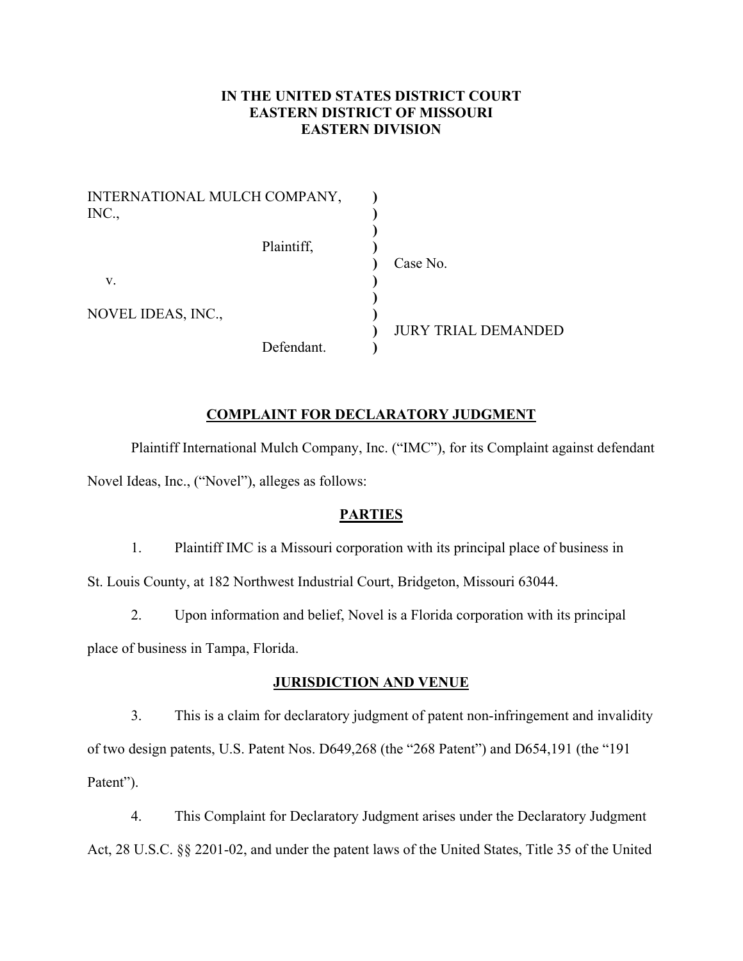# **IN THE UNITED STATES DISTRICT COURT EASTERN DISTRICT OF MISSOURI EASTERN DIVISION**

| INTERNATIONAL MULCH COMPANY,<br>INC., |            |                            |
|---------------------------------------|------------|----------------------------|
|                                       | Plaintiff, | Case No.                   |
| V.                                    |            |                            |
| NOVEL IDEAS, INC.,                    |            | <b>JURY TRIAL DEMANDED</b> |
|                                       | Defendant. |                            |

## **COMPLAINT FOR DECLARATORY JUDGMENT**

Plaintiff International Mulch Company, Inc. ("IMC"), for its Complaint against defendant Novel Ideas, Inc., ("Novel"), alleges as follows:

#### **PARTIES**

1. Plaintiff IMC is a Missouri corporation with its principal place of business in

St. Louis County, at 182 Northwest Industrial Court, Bridgeton, Missouri 63044.

2. Upon information and belief, Novel is a Florida corporation with its principal place of business in Tampa, Florida.

#### **JURISDICTION AND VENUE**

3. This is a claim for declaratory judgment of patent non-infringement and invalidity of two design patents, U.S. Patent Nos. D649,268 (the "268 Patent") and D654,191 (the "191 Patent").

4. This Complaint for Declaratory Judgment arises under the Declaratory Judgment Act, 28 U.S.C. §§ 2201-02, and under the patent laws of the United States, Title 35 of the United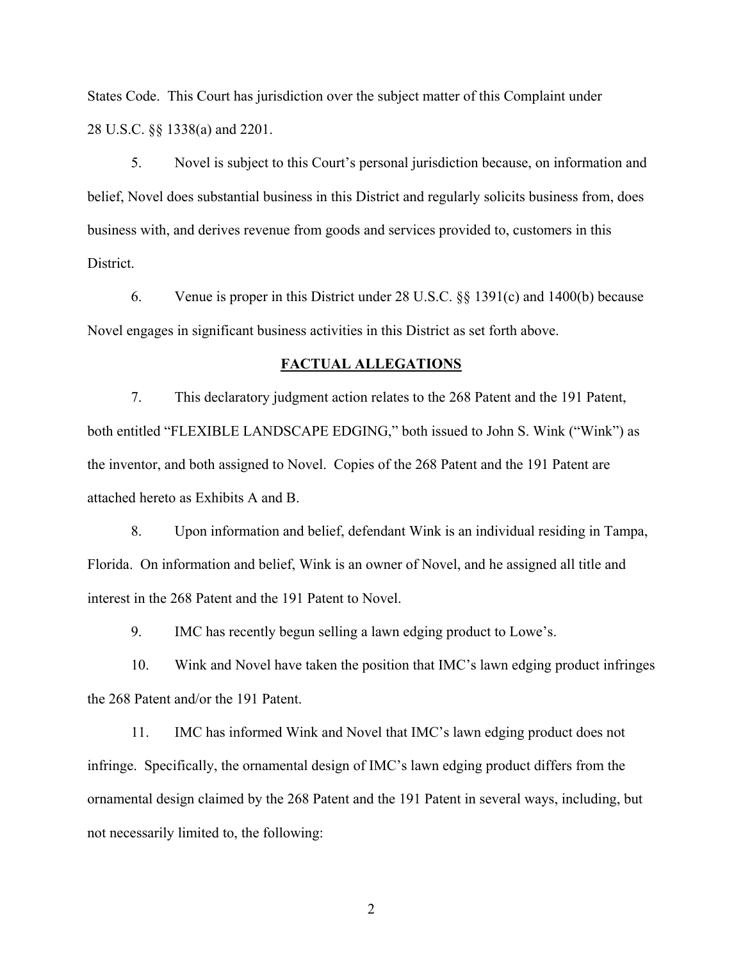States Code. This Court has jurisdiction over the subject matter of this Complaint under 28 U.S.C. §§ 1338(a) and 2201.

5. Novel is subject to this Court's personal jurisdiction because, on information and belief, Novel does substantial business in this District and regularly solicits business from, does business with, and derives revenue from goods and services provided to, customers in this District.

6. Venue is proper in this District under 28 U.S.C. §§ 1391(c) and 1400(b) because Novel engages in significant business activities in this District as set forth above.

#### **FACTUAL ALLEGATIONS**

7. This declaratory judgment action relates to the 268 Patent and the 191 Patent, both entitled "FLEXIBLE LANDSCAPE EDGING," both issued to John S. Wink ("Wink") as the inventor, and both assigned to Novel. Copies of the 268 Patent and the 191 Patent are attached hereto as Exhibits A and B.

8. Upon information and belief, defendant Wink is an individual residing in Tampa, Florida. On information and belief, Wink is an owner of Novel, and he assigned all title and interest in the 268 Patent and the 191 Patent to Novel.

9. IMC has recently begun selling a lawn edging product to Lowe's.

10. Wink and Novel have taken the position that IMC's lawn edging product infringes the 268 Patent and/or the 191 Patent.

11. IMC has informed Wink and Novel that IMC's lawn edging product does not infringe. Specifically, the ornamental design of IMC's lawn edging product differs from the ornamental design claimed by the 268 Patent and the 191 Patent in several ways, including, but not necessarily limited to, the following: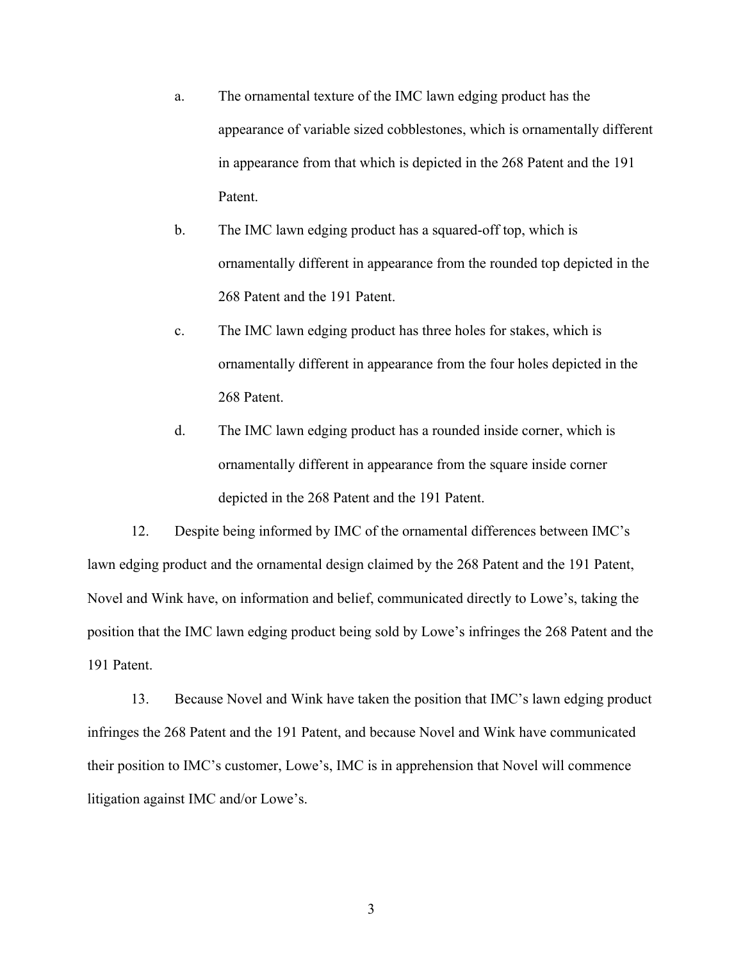- a. The ornamental texture of the IMC lawn edging product has the appearance of variable sized cobblestones, which is ornamentally different in appearance from that which is depicted in the 268 Patent and the 191 Patent.
- b. The IMC lawn edging product has a squared-off top, which is ornamentally different in appearance from the rounded top depicted in the 268 Patent and the 191 Patent.
- c. The IMC lawn edging product has three holes for stakes, which is ornamentally different in appearance from the four holes depicted in the 268 Patent.
- d. The IMC lawn edging product has a rounded inside corner, which is ornamentally different in appearance from the square inside corner depicted in the 268 Patent and the 191 Patent.

12. Despite being informed by IMC of the ornamental differences between IMC's lawn edging product and the ornamental design claimed by the 268 Patent and the 191 Patent, Novel and Wink have, on information and belief, communicated directly to Lowe's, taking the position that the IMC lawn edging product being sold by Lowe's infringes the 268 Patent and the 191 Patent.

13. Because Novel and Wink have taken the position that IMC's lawn edging product infringes the 268 Patent and the 191 Patent, and because Novel and Wink have communicated their position to IMC's customer, Lowe's, IMC is in apprehension that Novel will commence litigation against IMC and/or Lowe's.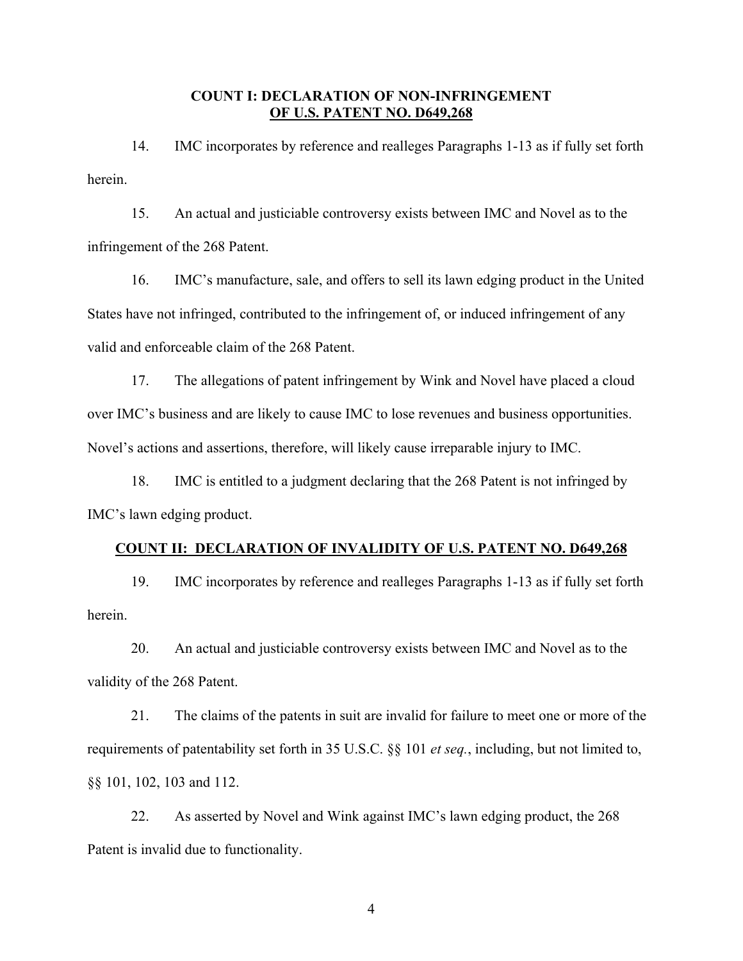### **COUNT I: DECLARATION OF NON-INFRINGEMENT OF U.S. PATENT NO. D649,268**

14. IMC incorporates by reference and realleges Paragraphs 1-13 as if fully set forth herein.

15. An actual and justiciable controversy exists between IMC and Novel as to the infringement of the 268 Patent.

16. IMC's manufacture, sale, and offers to sell its lawn edging product in the United States have not infringed, contributed to the infringement of, or induced infringement of any valid and enforceable claim of the 268 Patent.

17. The allegations of patent infringement by Wink and Novel have placed a cloud over IMC's business and are likely to cause IMC to lose revenues and business opportunities. Novel's actions and assertions, therefore, will likely cause irreparable injury to IMC.

18. IMC is entitled to a judgment declaring that the 268 Patent is not infringed by IMC's lawn edging product.

## **COUNT II: DECLARATION OF INVALIDITY OF U.S. PATENT NO. D649,268**

19. IMC incorporates by reference and realleges Paragraphs 1-13 as if fully set forth herein.

20. An actual and justiciable controversy exists between IMC and Novel as to the validity of the 268 Patent.

21. The claims of the patents in suit are invalid for failure to meet one or more of the requirements of patentability set forth in 35 U.S.C. §§ 101 *et seq.*, including, but not limited to, §§ 101, 102, 103 and 112.

22. As asserted by Novel and Wink against IMC's lawn edging product, the 268 Patent is invalid due to functionality.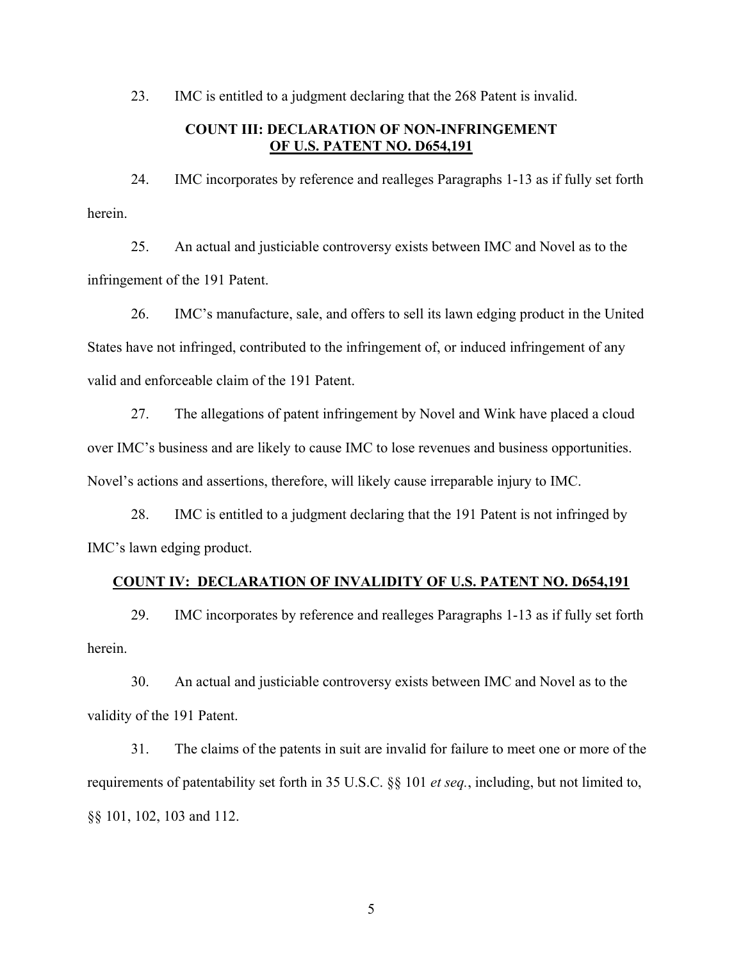23. IMC is entitled to a judgment declaring that the 268 Patent is invalid.

# **COUNT III: DECLARATION OF NON-INFRINGEMENT OF U.S. PATENT NO. D654,191**

24. IMC incorporates by reference and realleges Paragraphs 1-13 as if fully set forth herein.

25. An actual and justiciable controversy exists between IMC and Novel as to the infringement of the 191 Patent.

26. IMC's manufacture, sale, and offers to sell its lawn edging product in the United States have not infringed, contributed to the infringement of, or induced infringement of any valid and enforceable claim of the 191 Patent.

27. The allegations of patent infringement by Novel and Wink have placed a cloud over IMC's business and are likely to cause IMC to lose revenues and business opportunities. Novel's actions and assertions, therefore, will likely cause irreparable injury to IMC.

28. IMC is entitled to a judgment declaring that the 191 Patent is not infringed by IMC's lawn edging product.

# **COUNT IV: DECLARATION OF INVALIDITY OF U.S. PATENT NO. D654,191**

29. IMC incorporates by reference and realleges Paragraphs 1-13 as if fully set forth herein.

30. An actual and justiciable controversy exists between IMC and Novel as to the validity of the 191 Patent.

31. The claims of the patents in suit are invalid for failure to meet one or more of the requirements of patentability set forth in 35 U.S.C. §§ 101 *et seq.*, including, but not limited to, §§ 101, 102, 103 and 112.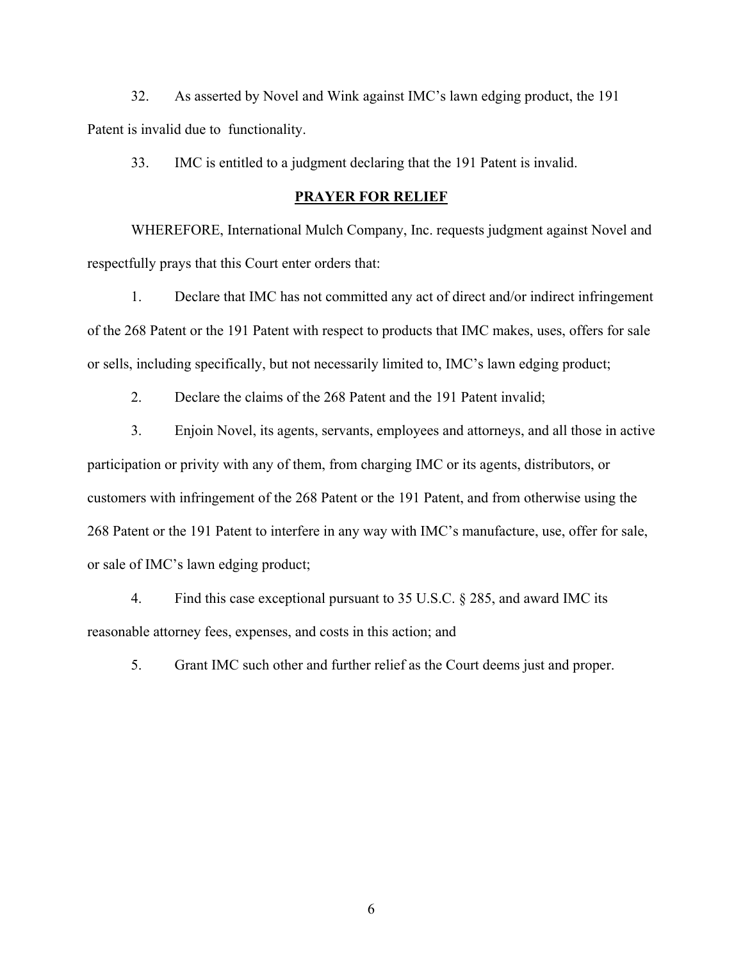32. As asserted by Novel and Wink against IMC's lawn edging product, the 191 Patent is invalid due to functionality.

33. IMC is entitled to a judgment declaring that the 191 Patent is invalid.

#### **PRAYER FOR RELIEF**

 WHEREFORE, International Mulch Company, Inc. requests judgment against Novel and respectfully prays that this Court enter orders that:

1. Declare that IMC has not committed any act of direct and/or indirect infringement of the 268 Patent or the 191 Patent with respect to products that IMC makes, uses, offers for sale or sells, including specifically, but not necessarily limited to, IMC's lawn edging product;

2. Declare the claims of the 268 Patent and the 191 Patent invalid;

3. Enjoin Novel, its agents, servants, employees and attorneys, and all those in active participation or privity with any of them, from charging IMC or its agents, distributors, or customers with infringement of the 268 Patent or the 191 Patent, and from otherwise using the 268 Patent or the 191 Patent to interfere in any way with IMC's manufacture, use, offer for sale, or sale of IMC's lawn edging product;

4. Find this case exceptional pursuant to 35 U.S.C. § 285, and award IMC its reasonable attorney fees, expenses, and costs in this action; and

5. Grant IMC such other and further relief as the Court deems just and proper.